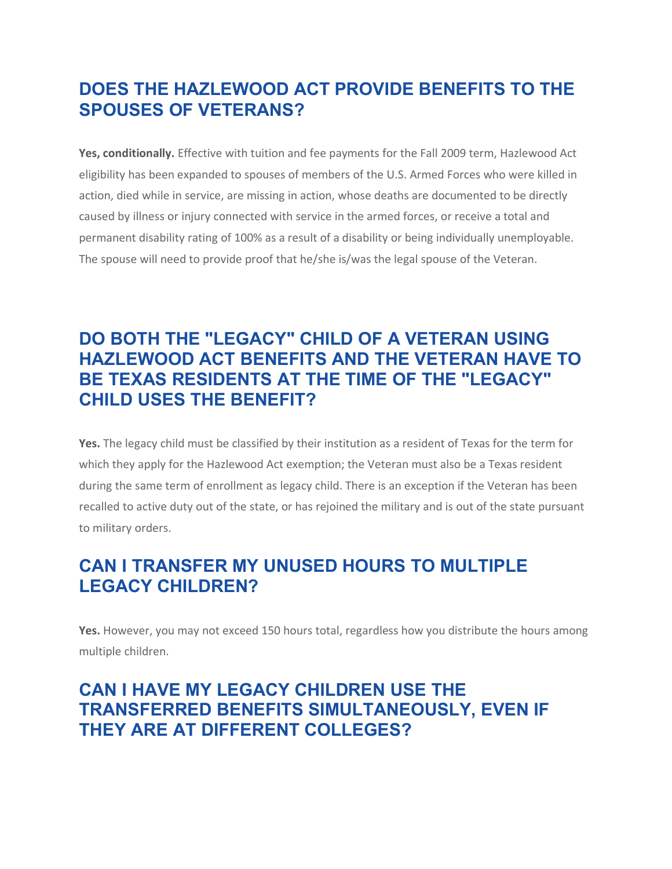## **DOES THE HAZLEWOOD ACT PROVIDE BENEFITS TO THE SPOUSES OF VETERANS?**

**Yes, conditionally.** Effective with tuition and fee payments for the Fall 2009 term, Hazlewood Act eligibility has been expanded to spouses of members of the U.S. Armed Forces who were killed in action, died while in service, are missing in action, whose deaths are documented to be directly caused by illness or injury connected with service in the armed forces, or receive a total and permanent disability rating of 100% as a result of a disability or being individually unemployable. The spouse will need to provide proof that he/she is/was the legal spouse of the Veteran.

## **DO BOTH THE "LEGACY" CHILD OF A VETERAN USING HAZLEWOOD ACT BENEFITS AND THE VETERAN HAVE TO BE TEXAS RESIDENTS AT THE TIME OF THE "LEGACY" CHILD USES THE BENEFIT?**

**Yes.** The legacy child must be classified by their institution as a resident of Texas for the term for which they apply for the Hazlewood Act exemption; the Veteran must also be a Texas resident during the same term of enrollment as legacy child. There is an exception if the Veteran has been recalled to active duty out of the state, or has rejoined the military and is out of the state pursuant to military orders.

## **CAN I TRANSFER MY UNUSED HOURS TO MULTIPLE LEGACY CHILDREN?**

**Yes.** However, you may not exceed 150 hours total, regardless how you distribute the hours among multiple children.

## **CAN I HAVE MY LEGACY CHILDREN USE THE TRANSFERRED BENEFITS SIMULTANEOUSLY, EVEN IF THEY ARE AT DIFFERENT COLLEGES?**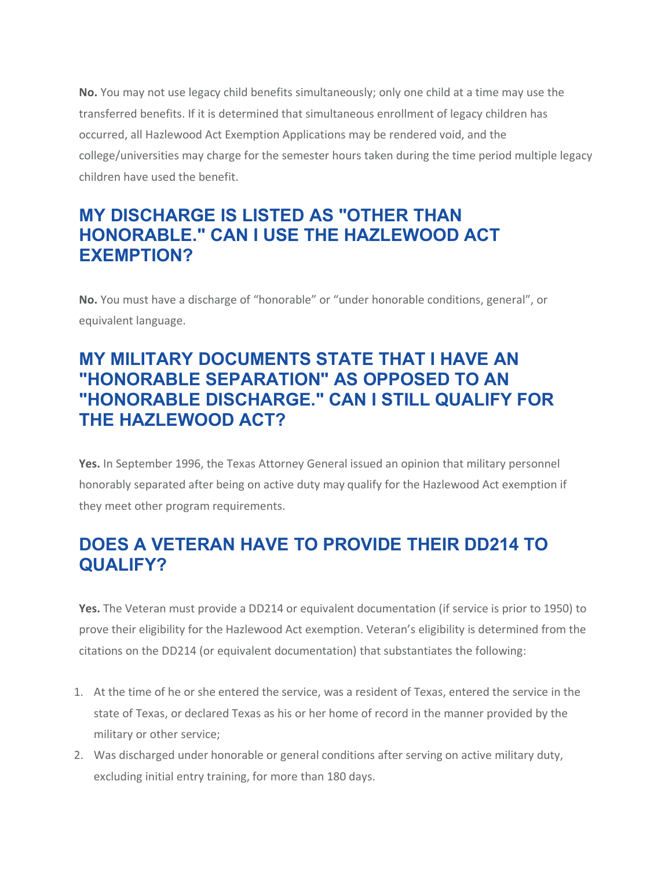**No.** You may not use legacy child benefits simultaneously; only one child at a time may use the transferred benefits. If it is determined that simultaneous enrollment of legacy children has occurred, all Hazlewood Act Exemption Applications may be rendered void, and the college/universities may charge for the semester hours taken during the time period multiple legacy children have used the benefit.

#### **MY DISCHARGE IS LISTED AS "OTHER THAN HONORABLE." CAN I USE THE HAZLEWOOD ACT EXEMPTION?**

**No.** You must have a discharge of "honorable" or "under honorable conditions, general", or equivalent language.

#### **MY MILITARY DOCUMENTS STATE THAT I HAVE AN "HONORABLE SEPARATION" AS OPPOSED TO AN "HONORABLE DISCHARGE." CAN I STILL QUALIFY FOR THE HAZLEWOOD ACT?**

**Yes.** In September 1996, the Texas Attorney General issued an opinion that military personnel honorably separated after being on active duty may qualify for the Hazlewood Act exemption if they meet other program requirements.

#### **DOES A VETERAN HAVE TO PROVIDE THEIR DD214 TO QUALIFY?**

**Yes.** The Veteran must provide a DD214 or equivalent documentation (if service is prior to 1950) to prove their eligibility for the Hazlewood Act exemption. Veteran's eligibility is determined from the citations on the DD214 (or equivalent documentation) that substantiates the following:

- 1. At the time of he or she entered the service, was a resident of Texas, entered the service in the state of Texas, or declared Texas as his or her home of record in the manner provided by the military or other service;
- 2. Was discharged under honorable or general conditions after serving on active military duty, excluding initial entry training, for more than 180 days.